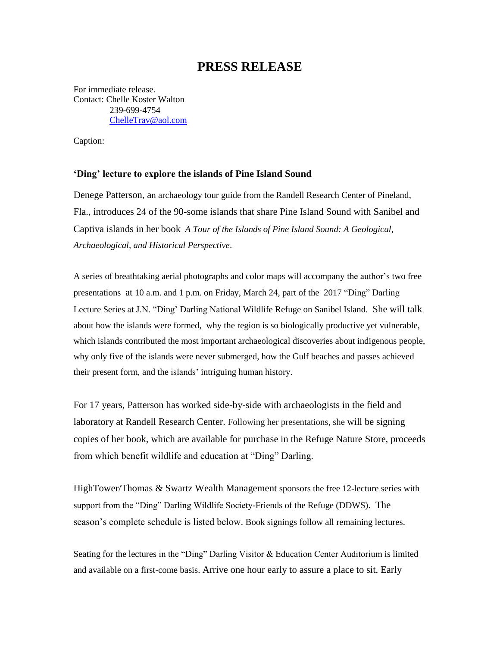## **PRESS RELEASE**

For immediate release. Contact: Chelle Koster Walton 239-699-4754 [ChelleTrav@aol.com](mailto:ChelleTrav@aol.com)

Caption:

## **'Ding' lecture to explore the islands of Pine Island Sound**

Denege Patterson, an archaeology tour guide from the Randell Research Center of Pineland, Fla., introduces 24 of the 90-some islands that share Pine Island Sound with Sanibel and Captiva islands in her book *A Tour of the Islands of Pine Island Sound: A Geological, Archaeological, and Historical Perspective*.

A series of breathtaking aerial photographs and color maps will accompany the author's two free presentations at 10 a.m. and 1 p.m. on Friday, March 24, part of the 2017 "Ding" Darling Lecture Series at J.N. "Ding' Darling National Wildlife Refuge on Sanibel Island. She will talk about how the islands were formed, why the region is so biologically productive yet vulnerable, which islands contributed the most important archaeological discoveries about indigenous people, why only five of the islands were never submerged, how the Gulf beaches and passes achieved their present form, and the islands' intriguing human history.

For 17 years, Patterson has worked side-by-side with archaeologists in the field and laboratory at Randell Research Center. Following her presentations, she will be signing copies of her book, which are available for purchase in the Refuge Nature Store, proceeds from which benefit wildlife and education at "Ding" Darling.

HighTower/Thomas & Swartz Wealth Management sponsors the free 12-lecture series with support from the "Ding" Darling Wildlife Society-Friends of the Refuge (DDWS). The season's complete schedule is listed below. Book signings follow all remaining lectures.

Seating for the lectures in the "Ding" Darling Visitor & Education Center Auditorium is limited and available on a first-come basis. Arrive one hour early to assure a place to sit. Early